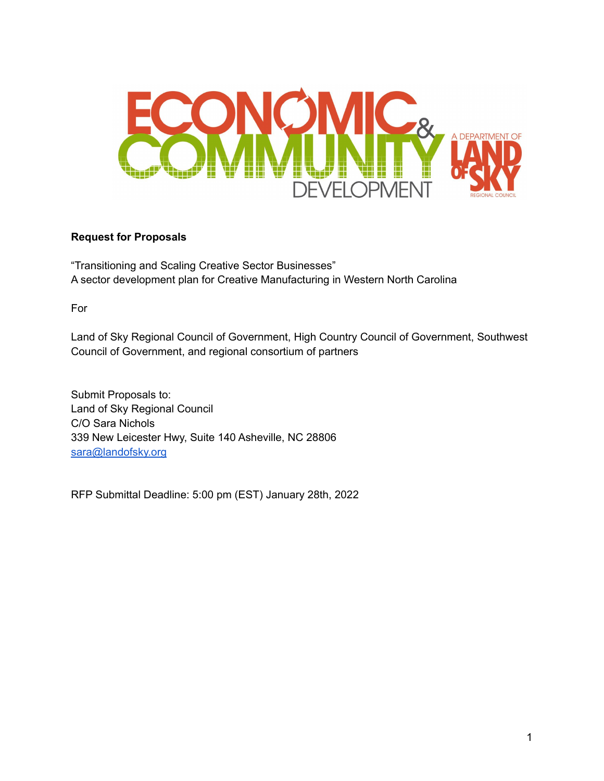

### **Request for Proposals**

"Transitioning and Scaling Creative Sector Businesses" A sector development plan for Creative Manufacturing in Western North Carolina

For

Land of Sky Regional Council of Government, High Country Council of Government, Southwest Council of Government, and regional consortium of partners

Submit Proposals to: Land of Sky Regional Council C/O Sara Nichols 339 New Leicester Hwy, Suite 140 Asheville, NC 28806 [sara@landofsky.org](mailto:sara@landofsky.org)

RFP Submittal Deadline: 5:00 pm (EST) January 28th, 2022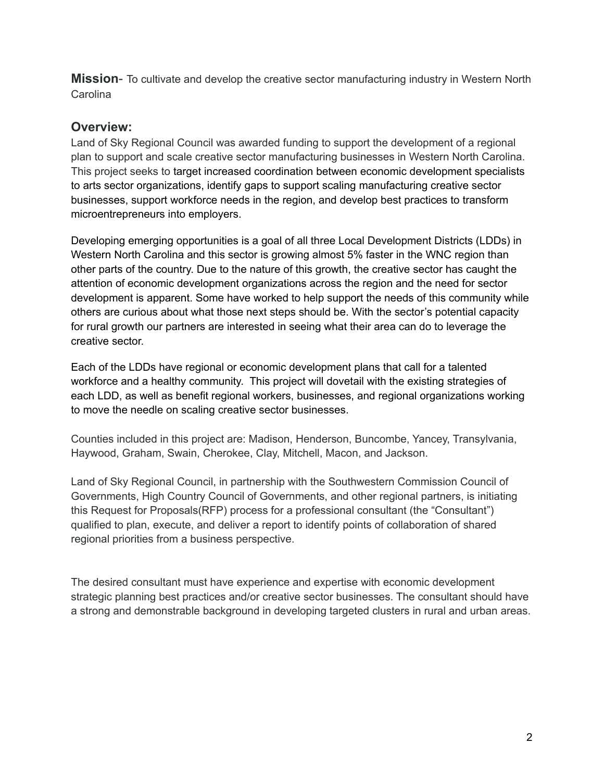**Mission**- To cultivate and develop the creative sector manufacturing industry in Western North **Carolina** 

## **Overview:**

Land of Sky Regional Council was awarded funding to support the development of a regional plan to support and scale creative sector manufacturing businesses in Western North Carolina. This project seeks to target increased coordination between economic development specialists to arts sector organizations, identify gaps to support scaling manufacturing creative sector businesses, support workforce needs in the region, and develop best practices to transform microentrepreneurs into employers.

Developing emerging opportunities is a goal of all three Local Development Districts (LDDs) in Western North Carolina and this sector is growing almost 5% faster in the WNC region than other parts of the country. Due to the nature of this growth, the creative sector has caught the attention of economic development organizations across the region and the need for sector development is apparent. Some have worked to help support the needs of this community while others are curious about what those next steps should be. With the sector's potential capacity for rural growth our partners are interested in seeing what their area can do to leverage the creative sector.

Each of the LDDs have regional or economic development plans that call for a talented workforce and a healthy community. This project will dovetail with the existing strategies of each LDD, as well as benefit regional workers, businesses, and regional organizations working to move the needle on scaling creative sector businesses.

Counties included in this project are: Madison, Henderson, Buncombe, Yancey, Transylvania, Haywood, Graham, Swain, Cherokee, Clay, Mitchell, Macon, and Jackson.

Land of Sky Regional Council, in partnership with the Southwestern Commission Council of Governments, High Country Council of Governments, and other regional partners, is initiating this Request for Proposals(RFP) process for a professional consultant (the "Consultant") qualified to plan, execute, and deliver a report to identify points of collaboration of shared regional priorities from a business perspective.

The desired consultant must have experience and expertise with economic development strategic planning best practices and/or creative sector businesses. The consultant should have a strong and demonstrable background in developing targeted clusters in rural and urban areas.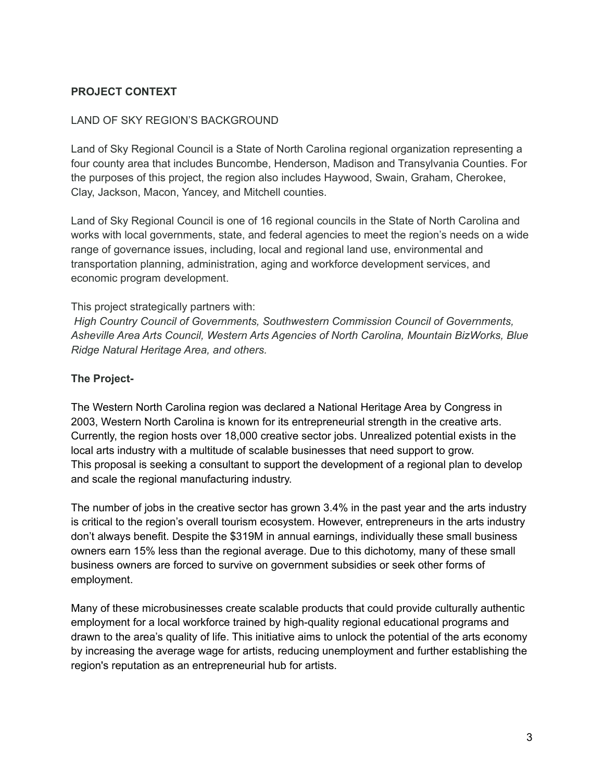### **PROJECT CONTEXT**

#### LAND OF SKY REGION'S BACKGROUND

Land of Sky Regional Council is a State of North Carolina regional organization representing a four county area that includes Buncombe, Henderson, Madison and Transylvania Counties. For the purposes of this project, the region also includes Haywood, Swain, Graham, Cherokee, Clay, Jackson, Macon, Yancey, and Mitchell counties.

Land of Sky Regional Council is one of 16 regional councils in the State of North Carolina and works with local governments, state, and federal agencies to meet the region's needs on a wide range of governance issues, including, local and regional land use, environmental and transportation planning, administration, aging and workforce development services, and economic program development.

#### This project strategically partners with:

*High Country Council of Governments, Southwestern Commission Council of Governments, Asheville Area Arts Council, Western Arts Agencies of North Carolina, Mountain BizWorks, Blue Ridge Natural Heritage Area, and others.*

### **The Project-**

The Western North Carolina region was declared a National Heritage Area by Congress in 2003, Western North Carolina is known for its entrepreneurial strength in the creative arts. Currently, the region hosts over 18,000 creative sector jobs. Unrealized potential exists in the local arts industry with a multitude of scalable businesses that need support to grow. This proposal is seeking a consultant to support the development of a regional plan to develop and scale the regional manufacturing industry.

The number of jobs in the creative sector has grown 3.4% in the past year and the arts industry is critical to the region's overall tourism ecosystem. However, entrepreneurs in the arts industry don't always benefit. Despite the \$319M in annual earnings, individually these small business owners earn 15% less than the regional average. Due to this dichotomy, many of these small business owners are forced to survive on government subsidies or seek other forms of employment.

Many of these microbusinesses create scalable products that could provide culturally authentic employment for a local workforce trained by high-quality regional educational programs and drawn to the area's quality of life. This initiative aims to unlock the potential of the arts economy by increasing the average wage for artists, reducing unemployment and further establishing the region's reputation as an entrepreneurial hub for artists.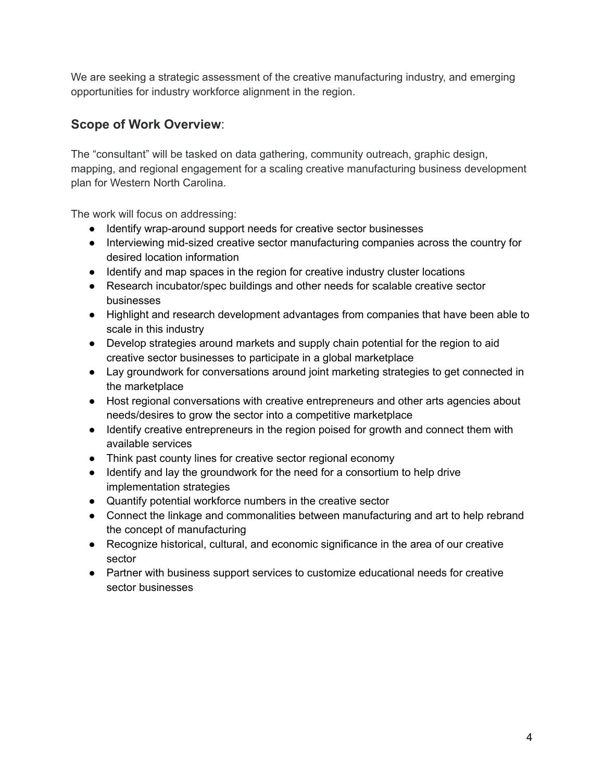We are seeking a strategic assessment of the creative manufacturing industry, and emerging opportunities for industry workforce alignment in the region.

# **Scope of Work Overview**:

The "consultant" will be tasked on data gathering, community outreach, graphic design, mapping, and regional engagement for a scaling creative manufacturing business development plan for Western North Carolina.

The work will focus on addressing:

- Identify wrap-around support needs for creative sector businesses
- Interviewing mid-sized creative sector manufacturing companies across the country for desired location information
- Identify and map spaces in the region for creative industry cluster locations
- Research incubator/spec buildings and other needs for scalable creative sector businesses
- Highlight and research development advantages from companies that have been able to scale in this industry
- Develop strategies around markets and supply chain potential for the region to aid creative sector businesses to participate in a global marketplace
- Lay groundwork for conversations around joint marketing strategies to get connected in the marketplace
- Host regional conversations with creative entrepreneurs and other arts agencies about needs/desires to grow the sector into a competitive marketplace
- Identify creative entrepreneurs in the region poised for growth and connect them with available services
- Think past county lines for creative sector regional economy
- Identify and lay the groundwork for the need for a consortium to help drive implementation strategies
- Quantify potential workforce numbers in the creative sector
- Connect the linkage and commonalities between manufacturing and art to help rebrand the concept of manufacturing
- Recognize historical, cultural, and economic significance in the area of our creative sector
- Partner with business support services to customize educational needs for creative sector businesses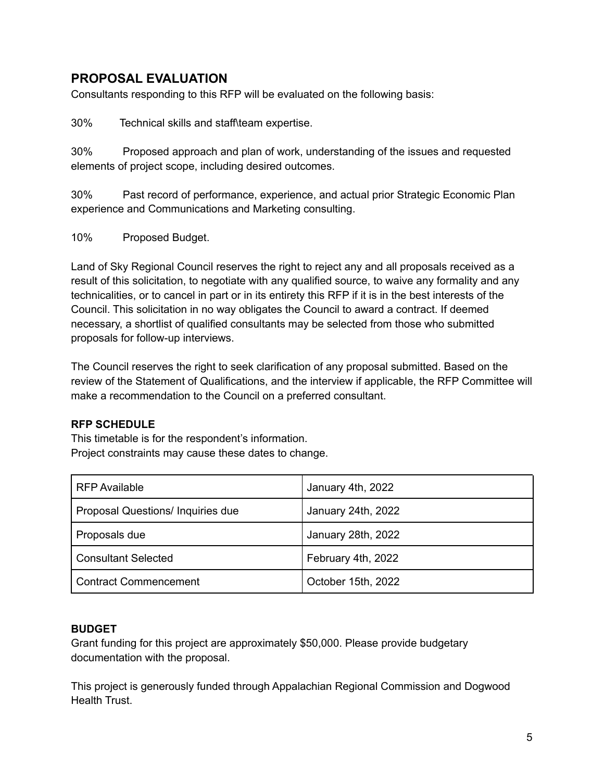## **PROPOSAL EVALUATION**

Consultants responding to this RFP will be evaluated on the following basis:

30% Technical skills and staff\team expertise.

30% Proposed approach and plan of work, understanding of the issues and requested elements of project scope, including desired outcomes.

30% Past record of performance, experience, and actual prior Strategic Economic Plan experience and Communications and Marketing consulting.

10% Proposed Budget.

Land of Sky Regional Council reserves the right to reject any and all proposals received as a result of this solicitation, to negotiate with any qualified source, to waive any formality and any technicalities, or to cancel in part or in its entirety this RFP if it is in the best interests of the Council. This solicitation in no way obligates the Council to award a contract. If deemed necessary, a shortlist of qualified consultants may be selected from those who submitted proposals for follow-up interviews.

The Council reserves the right to seek clarification of any proposal submitted. Based on the review of the Statement of Qualifications, and the interview if applicable, the RFP Committee will make a recommendation to the Council on a preferred consultant.

### **RFP SCHEDULE**

This timetable is for the respondent's information. Project constraints may cause these dates to change.

| <b>RFP Available</b>                     | January 4th, 2022  |
|------------------------------------------|--------------------|
| <b>Proposal Questions/ Inquiries due</b> | January 24th, 2022 |
| Proposals due                            | January 28th, 2022 |
| <b>Consultant Selected</b>               | February 4th, 2022 |
| <b>Contract Commencement</b>             | October 15th, 2022 |

### **BUDGET**

Grant funding for this project are approximately \$50,000. Please provide budgetary documentation with the proposal.

This project is generously funded through Appalachian Regional Commission and Dogwood Health Trust.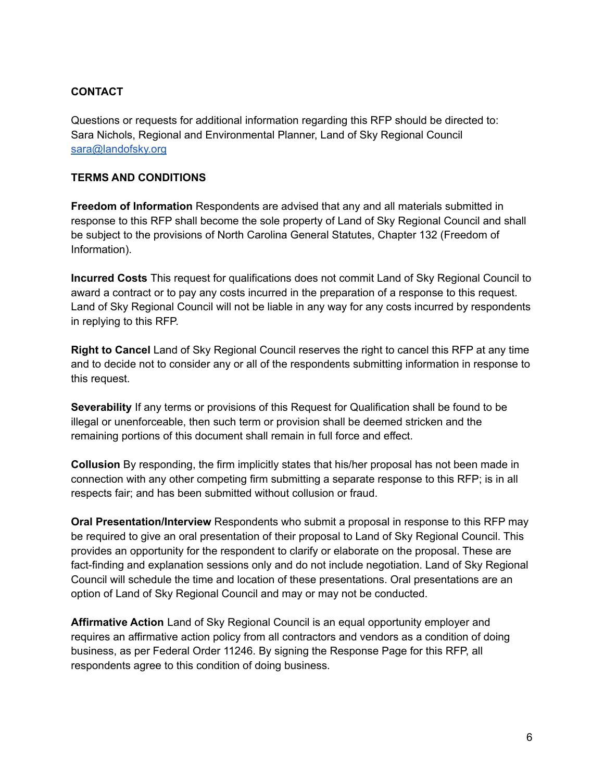### **CONTACT**

Questions or requests for additional information regarding this RFP should be directed to: Sara Nichols, Regional and Environmental Planner, Land of Sky Regional Council [sara@landofsky.org](mailto:sara@landofsky.org)

### **TERMS AND CONDITIONS**

**Freedom of Information** Respondents are advised that any and all materials submitted in response to this RFP shall become the sole property of Land of Sky Regional Council and shall be subject to the provisions of North Carolina General Statutes, Chapter 132 (Freedom of Information).

**Incurred Costs** This request for qualifications does not commit Land of Sky Regional Council to award a contract or to pay any costs incurred in the preparation of a response to this request. Land of Sky Regional Council will not be liable in any way for any costs incurred by respondents in replying to this RFP.

**Right to Cancel** Land of Sky Regional Council reserves the right to cancel this RFP at any time and to decide not to consider any or all of the respondents submitting information in response to this request.

**Severability** If any terms or provisions of this Request for Qualification shall be found to be illegal or unenforceable, then such term or provision shall be deemed stricken and the remaining portions of this document shall remain in full force and effect.

**Collusion** By responding, the firm implicitly states that his/her proposal has not been made in connection with any other competing firm submitting a separate response to this RFP; is in all respects fair; and has been submitted without collusion or fraud.

**Oral Presentation/Interview** Respondents who submit a proposal in response to this RFP may be required to give an oral presentation of their proposal to Land of Sky Regional Council. This provides an opportunity for the respondent to clarify or elaborate on the proposal. These are fact-finding and explanation sessions only and do not include negotiation. Land of Sky Regional Council will schedule the time and location of these presentations. Oral presentations are an option of Land of Sky Regional Council and may or may not be conducted.

**Affirmative Action** Land of Sky Regional Council is an equal opportunity employer and requires an affirmative action policy from all contractors and vendors as a condition of doing business, as per Federal Order 11246. By signing the Response Page for this RFP, all respondents agree to this condition of doing business.